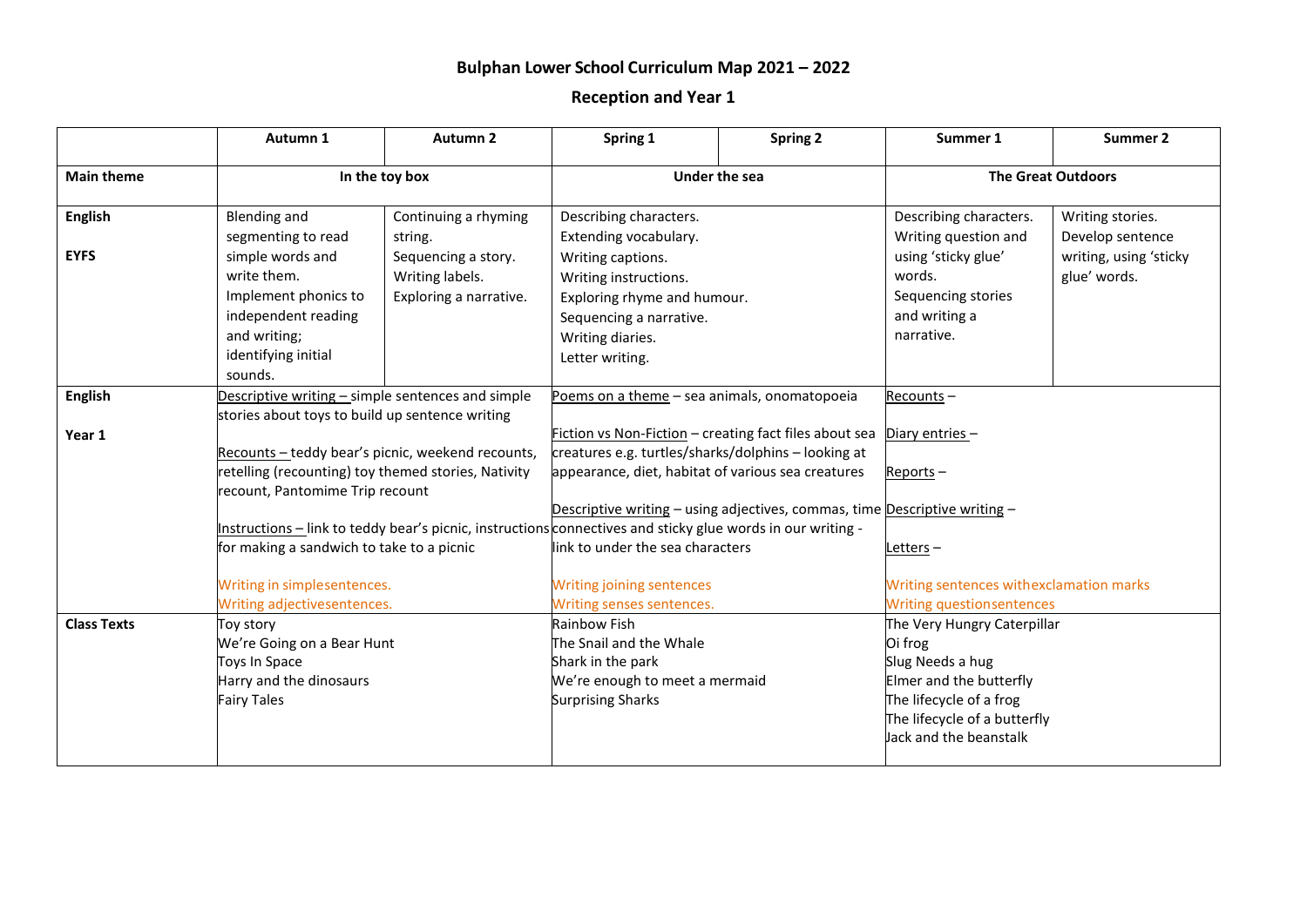## **Bulphan Lower School Curriculum Map 2021 – 2022**

## **Reception and Year 1**

|                    | Autumn 1                                                                                                    | <b>Autumn 2</b>                                                               | Spring 1                                                                                                                         | <b>Spring 2</b> | Summer 1                                    | Summer 2               |  |
|--------------------|-------------------------------------------------------------------------------------------------------------|-------------------------------------------------------------------------------|----------------------------------------------------------------------------------------------------------------------------------|-----------------|---------------------------------------------|------------------------|--|
| <b>Main theme</b>  | In the toy box                                                                                              |                                                                               | Under the sea                                                                                                                    |                 | <b>The Great Outdoors</b>                   |                        |  |
| <b>English</b>     | <b>Blending and</b>                                                                                         | Continuing a rhyming                                                          | Describing characters.                                                                                                           |                 | Describing characters.                      | Writing stories.       |  |
|                    | segmenting to read                                                                                          | string.                                                                       | Extending vocabulary.                                                                                                            |                 | Writing question and                        | Develop sentence       |  |
| <b>EYFS</b>        | simple words and                                                                                            | Sequencing a story.                                                           | Writing captions.                                                                                                                |                 | using 'sticky glue'                         | writing, using 'sticky |  |
|                    | write them.                                                                                                 | Writing labels.                                                               | Writing instructions.                                                                                                            |                 | words.                                      | glue' words.           |  |
|                    | Implement phonics to                                                                                        | Exploring a narrative.                                                        | Exploring rhyme and humour.                                                                                                      |                 | Sequencing stories                          |                        |  |
|                    | independent reading                                                                                         |                                                                               | Sequencing a narrative.                                                                                                          |                 | and writing a                               |                        |  |
|                    | and writing;                                                                                                |                                                                               | Writing diaries.                                                                                                                 |                 | narrative.                                  |                        |  |
|                    | identifying initial                                                                                         |                                                                               | Letter writing.                                                                                                                  |                 |                                             |                        |  |
|                    | sounds.                                                                                                     |                                                                               |                                                                                                                                  |                 |                                             |                        |  |
| <b>English</b>     | Descriptive writing - simple sentences and simple<br>stories about toys to build up sentence writing        |                                                                               | Poems on a theme - sea animals, onomatopoeia                                                                                     |                 | Recounts-                                   |                        |  |
|                    |                                                                                                             |                                                                               |                                                                                                                                  |                 |                                             |                        |  |
| Year 1             | Recounts-teddy bear's picnic, weekend recounts,                                                             |                                                                               | Fiction vs Non-Fiction - creating fact files about sea<br>creatures e.g. turtles/sharks/dolphins - looking at                    |                 | Diary entries-                              |                        |  |
|                    |                                                                                                             |                                                                               |                                                                                                                                  |                 |                                             |                        |  |
|                    | retelling (recounting) toy themed stories, Nativity                                                         |                                                                               | appearance, diet, habitat of various sea creatures<br>Descriptive writing - using adjectives, commas, time Descriptive writing - |                 | $Reports -$                                 |                        |  |
|                    | recount, Pantomime Trip recount                                                                             |                                                                               |                                                                                                                                  |                 |                                             |                        |  |
|                    |                                                                                                             |                                                                               |                                                                                                                                  |                 |                                             |                        |  |
|                    | Instructions – link to teddy bear's picnic, instructions connectives and sticky glue words in our writing - |                                                                               |                                                                                                                                  |                 |                                             |                        |  |
|                    |                                                                                                             | for making a sandwich to take to a picnic<br>link to under the sea characters |                                                                                                                                  |                 | Letters-                                    |                        |  |
|                    | Writing in simplesentences.<br>Writing adjectivesentences.                                                  |                                                                               | <b>Writing joining sentences</b>                                                                                                 |                 | Writing sentences withexclamation marks     |                        |  |
|                    |                                                                                                             |                                                                               | Writing senses sentences.                                                                                                        |                 | <b>Writing questionsentences</b>            |                        |  |
| <b>Class Texts</b> | Toy story                                                                                                   |                                                                               | Rainbow Fish                                                                                                                     |                 | The Very Hungry Caterpillar                 |                        |  |
|                    | We're Going on a Bear Hunt                                                                                  |                                                                               | The Snail and the Whale                                                                                                          |                 | Oi frog                                     |                        |  |
|                    | Toys In Space<br>Harry and the dinosaurs                                                                    |                                                                               | Shark in the park                                                                                                                |                 | Slug Needs a hug<br>Elmer and the butterfly |                        |  |
|                    |                                                                                                             |                                                                               | We're enough to meet a mermaid                                                                                                   |                 |                                             |                        |  |
|                    | <b>Fairy Tales</b>                                                                                          |                                                                               | The lifecycle of a frog<br><b>Surprising Sharks</b>                                                                              |                 |                                             |                        |  |
|                    |                                                                                                             |                                                                               |                                                                                                                                  |                 | The lifecycle of a butterfly                |                        |  |
|                    |                                                                                                             |                                                                               |                                                                                                                                  |                 | Jack and the beanstalk                      |                        |  |
|                    |                                                                                                             |                                                                               |                                                                                                                                  |                 |                                             |                        |  |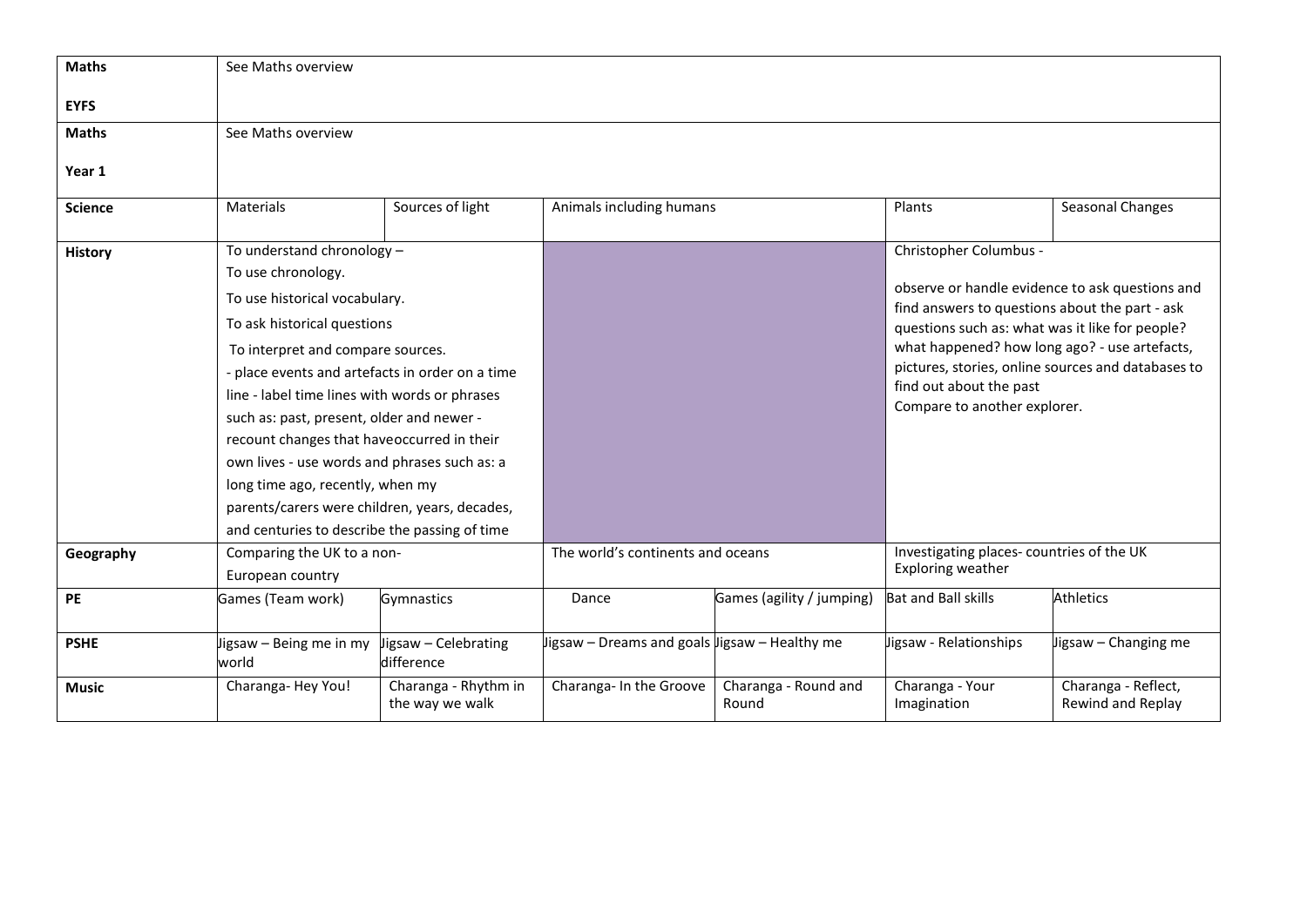| <b>Maths</b>   | See Maths overview                                                                             |                                         |                                               |                               |                                                                                                     |                                          |  |
|----------------|------------------------------------------------------------------------------------------------|-----------------------------------------|-----------------------------------------------|-------------------------------|-----------------------------------------------------------------------------------------------------|------------------------------------------|--|
| <b>EYFS</b>    |                                                                                                |                                         |                                               |                               |                                                                                                     |                                          |  |
| <b>Maths</b>   | See Maths overview                                                                             |                                         |                                               |                               |                                                                                                     |                                          |  |
|                |                                                                                                |                                         |                                               |                               |                                                                                                     |                                          |  |
| Year 1         |                                                                                                |                                         |                                               |                               |                                                                                                     |                                          |  |
| <b>Science</b> | Materials                                                                                      | Sources of light                        | Animals including humans                      |                               | Plants                                                                                              | Seasonal Changes                         |  |
|                |                                                                                                |                                         |                                               |                               |                                                                                                     |                                          |  |
| <b>History</b> | To understand chronology -                                                                     |                                         |                                               |                               | Christopher Columbus -                                                                              |                                          |  |
|                | To use chronology.                                                                             |                                         |                                               |                               | observe or handle evidence to ask questions and<br>find answers to questions about the part - ask   |                                          |  |
|                | To use historical vocabulary.                                                                  |                                         |                                               |                               |                                                                                                     |                                          |  |
|                | To ask historical questions                                                                    |                                         |                                               |                               | questions such as: what was it like for people?                                                     |                                          |  |
|                | To interpret and compare sources.                                                              |                                         |                                               |                               | what happened? how long ago? - use artefacts,<br>pictures, stories, online sources and databases to |                                          |  |
|                | - place events and artefacts in order on a time                                                |                                         |                                               |                               |                                                                                                     |                                          |  |
|                | line - label time lines with words or phrases                                                  |                                         |                                               |                               | find out about the past                                                                             |                                          |  |
|                | such as: past, present, older and newer -                                                      |                                         |                                               |                               | Compare to another explorer.                                                                        |                                          |  |
|                | recount changes that haveoccurred in their                                                     |                                         |                                               |                               |                                                                                                     |                                          |  |
|                | own lives - use words and phrases such as: a                                                   |                                         |                                               |                               |                                                                                                     |                                          |  |
|                | long time ago, recently, when my                                                               |                                         |                                               |                               |                                                                                                     |                                          |  |
|                | parents/carers were children, years, decades,<br>and centuries to describe the passing of time |                                         |                                               |                               |                                                                                                     |                                          |  |
|                |                                                                                                |                                         |                                               |                               |                                                                                                     |                                          |  |
| Geography      | Comparing the UK to a non-<br>European country                                                 |                                         | The world's continents and oceans             |                               | Investigating places-countries of the UK                                                            |                                          |  |
|                |                                                                                                |                                         |                                               |                               | Exploring weather                                                                                   |                                          |  |
| PE             | Games (Team work)                                                                              | Gymnastics                              | Dance                                         | Games (agility / jumping)     | <b>Bat and Ball skills</b>                                                                          | <b>Athletics</b>                         |  |
|                |                                                                                                |                                         |                                               |                               |                                                                                                     |                                          |  |
| <b>PSHE</b>    | ligsaw - Being me in my<br>world                                                               | Jigsaw - Celebrating<br>difference      | Jigsaw – Dreams and goals ligsaw – Healthy me |                               | Jigsaw - Relationships                                                                              | Jigsaw - Changing me                     |  |
| <b>Music</b>   | Charanga-Hey You!                                                                              | Charanga - Rhythm in<br>the way we walk | Charanga- In the Groove                       | Charanga - Round and<br>Round | Charanga - Your<br>Imagination                                                                      | Charanga - Reflect,<br>Rewind and Replay |  |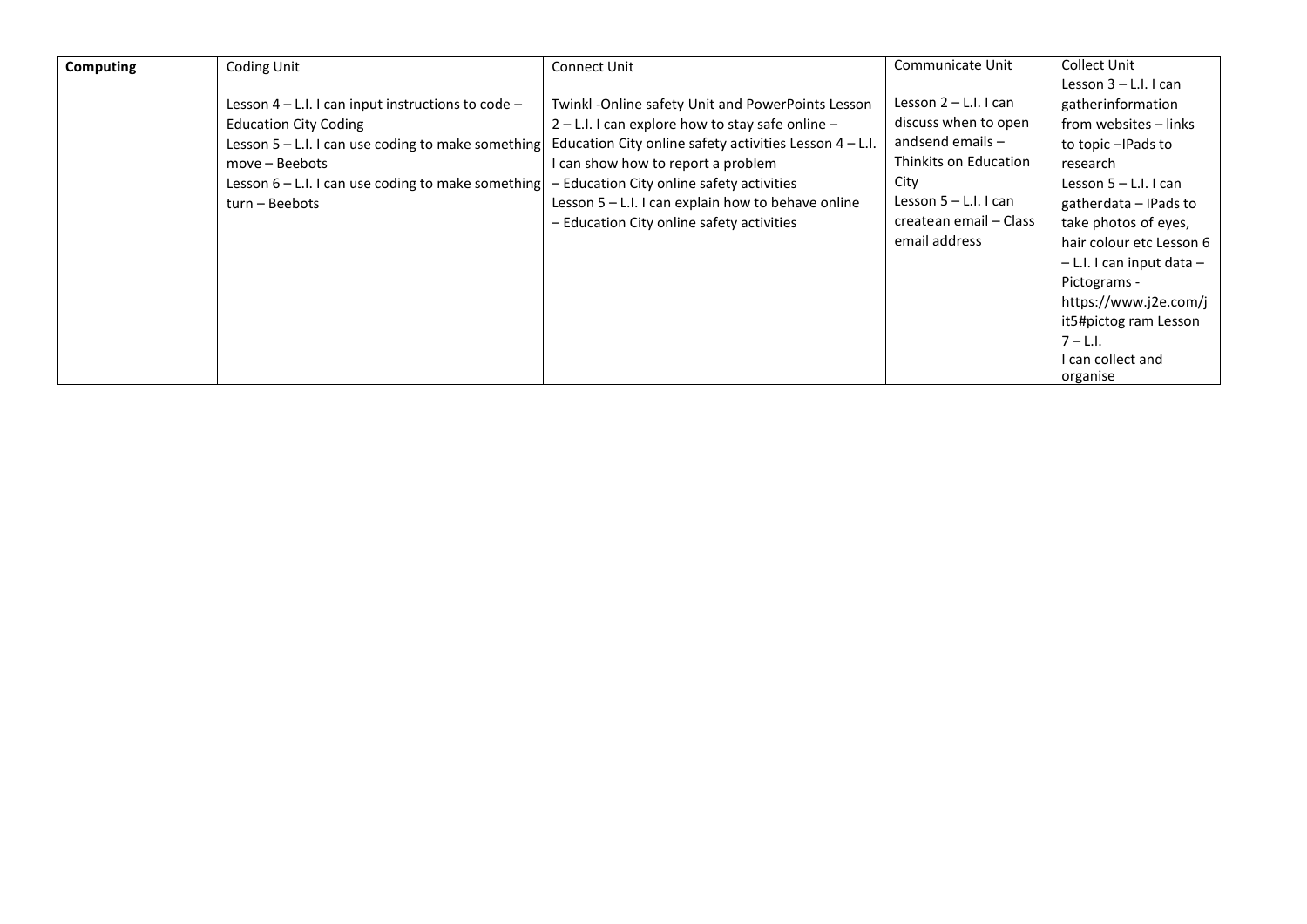| Computing | Coding Unit                                            | Connect Unit                                             | Communicate Unit        | Collect Unit                  |
|-----------|--------------------------------------------------------|----------------------------------------------------------|-------------------------|-------------------------------|
|           |                                                        |                                                          |                         | Lesson $3 - L.l.$ I can       |
|           | Lesson 4 - L.I. I can input instructions to code -     | Twinkl -Online safety Unit and PowerPoints Lesson        | Lesson $2 - L.l.$ I can | gatherinformation             |
|           | <b>Education City Coding</b>                           | 2 – L.I. I can explore how to stay safe online –         | discuss when to open    | from websites - links         |
|           | Lesson $5 - L.1$ . I can use coding to make something  | Education City online safety activities Lesson $4 - L$ . | and send emails $-$     | to topic - IPads to           |
|           | move – Beebots                                         | I can show how to report a problem                       | Thinkits on Education   | research                      |
|           | Lesson $6 - L$ . I. I can use coding to make something | - Education City online safety activities                | City                    | Lesson $5 - L.l.$ I can       |
|           | turn – Beebots                                         | Lesson 5 - L.I. I can explain how to behave online       | Lesson $5 - L.l.$ I can | gatherdata - IPads to         |
|           |                                                        | - Education City online safety activities                | createan email - Class  | take photos of eyes,          |
|           |                                                        |                                                          | email address           | hair colour etc Lesson 6      |
|           |                                                        |                                                          |                         | $-$ L.I. I can input data $-$ |
|           |                                                        |                                                          |                         | Pictograms -                  |
|           |                                                        |                                                          |                         | https://www.j2e.com/j         |
|           |                                                        |                                                          |                         | it5#pictog ram Lesson         |
|           |                                                        |                                                          |                         | $7 - L.1$                     |
|           |                                                        |                                                          |                         | I can collect and             |
|           |                                                        |                                                          |                         | organise                      |